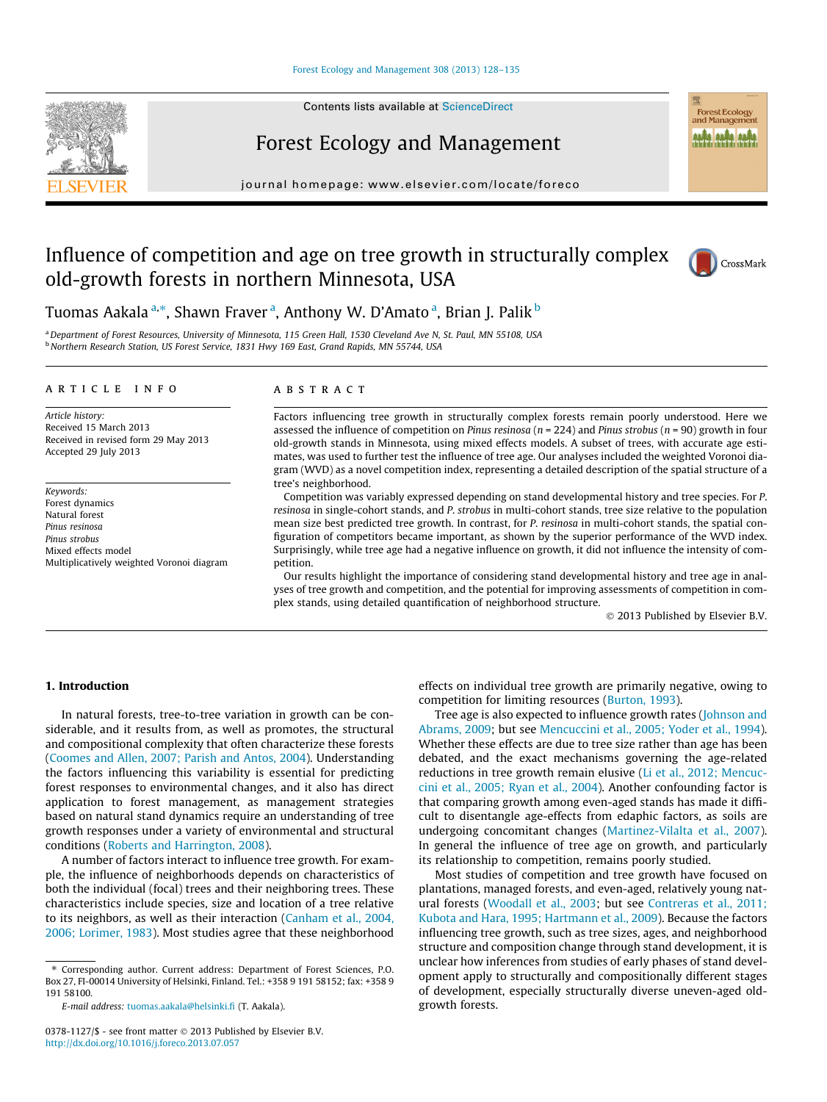Contents lists available at [ScienceDirect](http://www.sciencedirect.com/science/journal/03781127)

# Forest Ecology and Management

journal homepage: [www.elsevier.com/locate/foreco](http://www.elsevier.com/locate/foreco)

# Influence of competition and age on tree growth in structurally complex old-growth forests in northern Minnesota, USA



Forest Ecology<br>and Management **ALÂA ALÂA ALÂA** 

Tuomas Aakala <sup>a,</sup>\*, Shawn Fraver <sup>a</sup>, Anthony W. D'Amato <sup>a</sup>, Brian J. Palik <sup>b</sup>

a Department of Forest Resources, University of Minnesota, 115 Green Hall, 1530 Cleveland Ave N, St. Paul, MN 55108, USA b Northern Research Station, US Forest Service, 1831 Hwy 169 East, Grand Rapids, MN 55744, USA

## article info

Article history: Received 15 March 2013 Received in revised form 29 May 2013 Accepted 29 July 2013

Keywords: Forest dynamics Natural forest Pinus resinosa Pinus strobus Mixed effects model Multiplicatively weighted Voronoi diagram

## ABSTRACT

Factors influencing tree growth in structurally complex forests remain poorly understood. Here we assessed the influence of competition on Pinus resinosa ( $n = 224$ ) and Pinus strobus ( $n = 90$ ) growth in four old-growth stands in Minnesota, using mixed effects models. A subset of trees, with accurate age estimates, was used to further test the influence of tree age. Our analyses included the weighted Voronoi diagram (WVD) as a novel competition index, representing a detailed description of the spatial structure of a tree's neighborhood.

Competition was variably expressed depending on stand developmental history and tree species. For P. resinosa in single-cohort stands, and P. strobus in multi-cohort stands, tree size relative to the population mean size best predicted tree growth. In contrast, for P. resinosa in multi-cohort stands, the spatial configuration of competitors became important, as shown by the superior performance of the WVD index. Surprisingly, while tree age had a negative influence on growth, it did not influence the intensity of competition.

Our results highlight the importance of considering stand developmental history and tree age in analyses of tree growth and competition, and the potential for improving assessments of competition in complex stands, using detailed quantification of neighborhood structure.

© 2013 Published by Elsevier B.V.

# 1. Introduction

In natural forests, tree-to-tree variation in growth can be considerable, and it results from, as well as promotes, the structural and compositional complexity that often characterize these forests ([Coomes and Allen, 2007; Parish and Antos, 2004](#page-6-0)). Understanding the factors influencing this variability is essential for predicting forest responses to environmental changes, and it also has direct application to forest management, as management strategies based on natural stand dynamics require an understanding of tree growth responses under a variety of environmental and structural conditions ([Roberts and Harrington, 2008\)](#page-7-0).

A number of factors interact to influence tree growth. For example, the influence of neighborhoods depends on characteristics of both the individual (focal) trees and their neighboring trees. These characteristics include species, size and location of a tree relative to its neighbors, as well as their interaction ([Canham et al., 2004,](#page-6-0) [2006; Lorimer, 1983\)](#page-6-0). Most studies agree that these neighborhood

⇑ Corresponding author. Current address: Department of Forest Sciences, P.O. Box 27, FI-00014 University of Helsinki, Finland. Tel.: +358 9 191 58152; fax: +358 9 191 58100.

E-mail address: [tuomas.aakala@helsinki.fi](mailto:tuomas.aakala@helsinki.fi) (T. Aakala).

0378-1127/\$ - see front matter © 2013 Published by Elsevier B.V. <http://dx.doi.org/10.1016/j.foreco.2013.07.057>

effects on individual tree growth are primarily negative, owing to competition for limiting resources ([Burton, 1993\)](#page-6-0).

Tree age is also expected to influence growth rates ([Johnson and](#page-7-0) [Abrams, 2009;](#page-7-0) but see [Mencuccini et al., 2005; Yoder et al., 1994\)](#page-7-0). Whether these effects are due to tree size rather than age has been debated, and the exact mechanisms governing the age-related reductions in tree growth remain elusive [\(Li et al., 2012; Mencuc](#page-7-0)[cini et al., 2005; Ryan et al., 2004\)](#page-7-0). Another confounding factor is that comparing growth among even-aged stands has made it difficult to disentangle age-effects from edaphic factors, as soils are undergoing concomitant changes [\(Martinez-Vilalta et al., 2007\)](#page-7-0). In general the influence of tree age on growth, and particularly its relationship to competition, remains poorly studied.

Most studies of competition and tree growth have focused on plantations, managed forests, and even-aged, relatively young natural forests [\(Woodall et al., 2003;](#page-7-0) but see [Contreras et al., 2011;](#page-6-0) [Kubota and Hara, 1995; Hartmann et al., 2009\)](#page-6-0). Because the factors influencing tree growth, such as tree sizes, ages, and neighborhood structure and composition change through stand development, it is unclear how inferences from studies of early phases of stand development apply to structurally and compositionally different stages of development, especially structurally diverse uneven-aged oldgrowth forests.

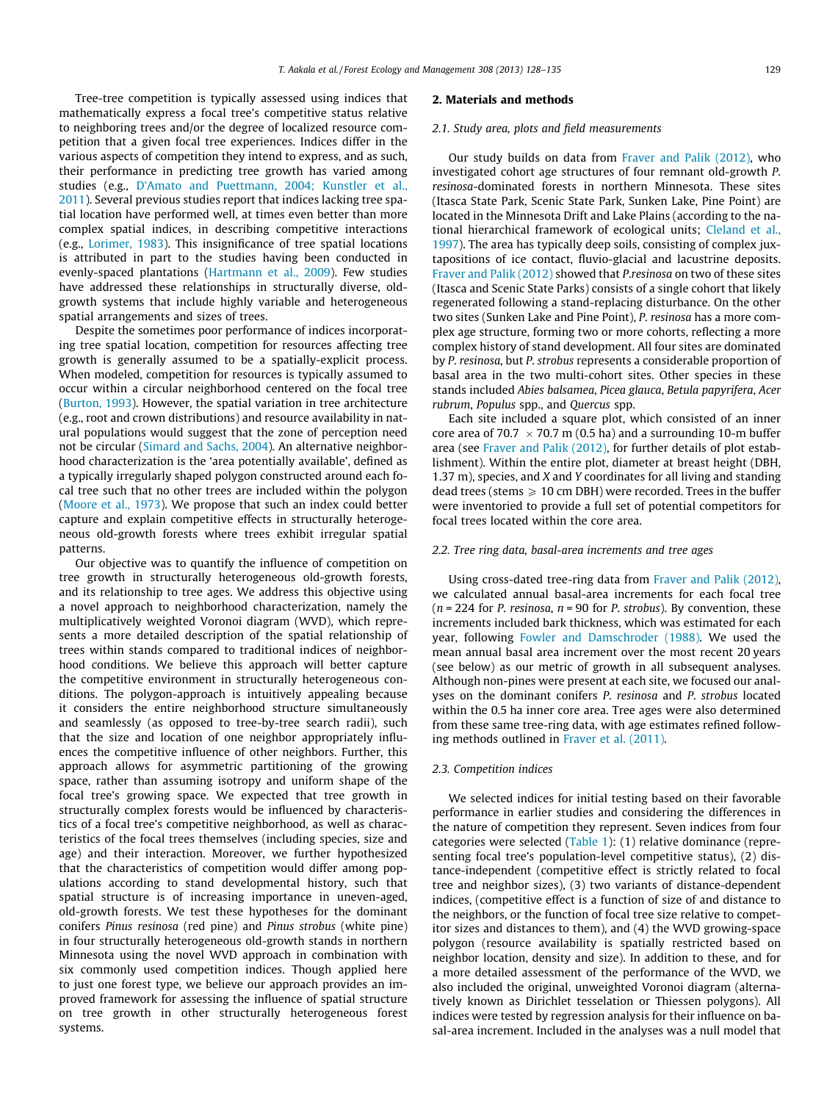Tree-tree competition is typically assessed using indices that mathematically express a focal tree's competitive status relative to neighboring trees and/or the degree of localized resource competition that a given focal tree experiences. Indices differ in the various aspects of competition they intend to express, and as such, their performance in predicting tree growth has varied among studies (e.g., [D'Amato and Puettmann, 2004; Kunstler et al.,](#page-6-0) [2011\)](#page-6-0). Several previous studies report that indices lacking tree spatial location have performed well, at times even better than more complex spatial indices, in describing competitive interactions (e.g., [Lorimer, 1983\)](#page-7-0). This insignificance of tree spatial locations is attributed in part to the studies having been conducted in evenly-spaced plantations [\(Hartmann et al., 2009](#page-7-0)). Few studies have addressed these relationships in structurally diverse, oldgrowth systems that include highly variable and heterogeneous spatial arrangements and sizes of trees.

Despite the sometimes poor performance of indices incorporating tree spatial location, competition for resources affecting tree growth is generally assumed to be a spatially-explicit process. When modeled, competition for resources is typically assumed to occur within a circular neighborhood centered on the focal tree ([Burton, 1993\)](#page-6-0). However, the spatial variation in tree architecture (e.g., root and crown distributions) and resource availability in natural populations would suggest that the zone of perception need not be circular [\(Simard and Sachs, 2004](#page-7-0)). An alternative neighborhood characterization is the 'area potentially available', defined as a typically irregularly shaped polygon constructed around each focal tree such that no other trees are included within the polygon ([Moore et al., 1973\)](#page-7-0). We propose that such an index could better capture and explain competitive effects in structurally heterogeneous old-growth forests where trees exhibit irregular spatial patterns.

Our objective was to quantify the influence of competition on tree growth in structurally heterogeneous old-growth forests, and its relationship to tree ages. We address this objective using a novel approach to neighborhood characterization, namely the multiplicatively weighted Voronoi diagram (WVD), which represents a more detailed description of the spatial relationship of trees within stands compared to traditional indices of neighborhood conditions. We believe this approach will better capture the competitive environment in structurally heterogeneous conditions. The polygon-approach is intuitively appealing because it considers the entire neighborhood structure simultaneously and seamlessly (as opposed to tree-by-tree search radii), such that the size and location of one neighbor appropriately influences the competitive influence of other neighbors. Further, this approach allows for asymmetric partitioning of the growing space, rather than assuming isotropy and uniform shape of the focal tree's growing space. We expected that tree growth in structurally complex forests would be influenced by characteristics of a focal tree's competitive neighborhood, as well as characteristics of the focal trees themselves (including species, size and age) and their interaction. Moreover, we further hypothesized that the characteristics of competition would differ among populations according to stand developmental history, such that spatial structure is of increasing importance in uneven-aged, old-growth forests. We test these hypotheses for the dominant conifers Pinus resinosa (red pine) and Pinus strobus (white pine) in four structurally heterogeneous old-growth stands in northern Minnesota using the novel WVD approach in combination with six commonly used competition indices. Though applied here to just one forest type, we believe our approach provides an improved framework for assessing the influence of spatial structure on tree growth in other structurally heterogeneous forest systems.

# 2. Materials and methods

### 2.1. Study area, plots and field measurements

Our study builds on data from [Fraver and Palik \(2012\)](#page-7-0), who investigated cohort age structures of four remnant old-growth P. resinosa-dominated forests in northern Minnesota. These sites (Itasca State Park, Scenic State Park, Sunken Lake, Pine Point) are located in the Minnesota Drift and Lake Plains (according to the national hierarchical framework of ecological units; [Cleland et al.,](#page-6-0) [1997\)](#page-6-0). The area has typically deep soils, consisting of complex juxtapositions of ice contact, fluvio-glacial and lacustrine deposits. [Fraver and Palik \(2012\)](#page-7-0) showed that P.resinosa on two of these sites (Itasca and Scenic State Parks) consists of a single cohort that likely regenerated following a stand-replacing disturbance. On the other two sites (Sunken Lake and Pine Point), P. resinosa has a more complex age structure, forming two or more cohorts, reflecting a more complex history of stand development. All four sites are dominated by P. resinosa, but P. strobus represents a considerable proportion of basal area in the two multi-cohort sites. Other species in these stands included Abies balsamea, Picea glauca, Betula papyrifera, Acer rubrum, Populus spp., and Quercus spp.

Each site included a square plot, which consisted of an inner core area of 70.7  $\times$  70.7 m (0.5 ha) and a surrounding 10-m buffer area (see [Fraver and Palik \(2012\)](#page-7-0), for further details of plot establishment). Within the entire plot, diameter at breast height (DBH, 1.37 m), species, and X and Y coordinates for all living and standing dead trees (stems  $\geq 10$  cm DBH) were recorded. Trees in the buffer were inventoried to provide a full set of potential competitors for focal trees located within the core area.

## 2.2. Tree ring data, basal-area increments and tree ages

Using cross-dated tree-ring data from [Fraver and Palik \(2012\),](#page-7-0) we calculated annual basal-area increments for each focal tree  $(n = 224$  for P. resinosa,  $n = 90$  for P. strobus). By convention, these increments included bark thickness, which was estimated for each year, following [Fowler and Damschroder \(1988\).](#page-7-0) We used the mean annual basal area increment over the most recent 20 years (see below) as our metric of growth in all subsequent analyses. Although non-pines were present at each site, we focused our analyses on the dominant conifers P. resinosa and P. strobus located within the 0.5 ha inner core area. Tree ages were also determined from these same tree-ring data, with age estimates refined following methods outlined in [Fraver et al. \(2011\).](#page-7-0)

#### 2.3. Competition indices

We selected indices for initial testing based on their favorable performance in earlier studies and considering the differences in the nature of competition they represent. Seven indices from four categories were selected [\(Table 1](#page-2-0)): (1) relative dominance (representing focal tree's population-level competitive status), (2) distance-independent (competitive effect is strictly related to focal tree and neighbor sizes), (3) two variants of distance-dependent indices, (competitive effect is a function of size of and distance to the neighbors, or the function of focal tree size relative to competitor sizes and distances to them), and (4) the WVD growing-space polygon (resource availability is spatially restricted based on neighbor location, density and size). In addition to these, and for a more detailed assessment of the performance of the WVD, we also included the original, unweighted Voronoi diagram (alternatively known as Dirichlet tesselation or Thiessen polygons). All indices were tested by regression analysis for their influence on basal-area increment. Included in the analyses was a null model that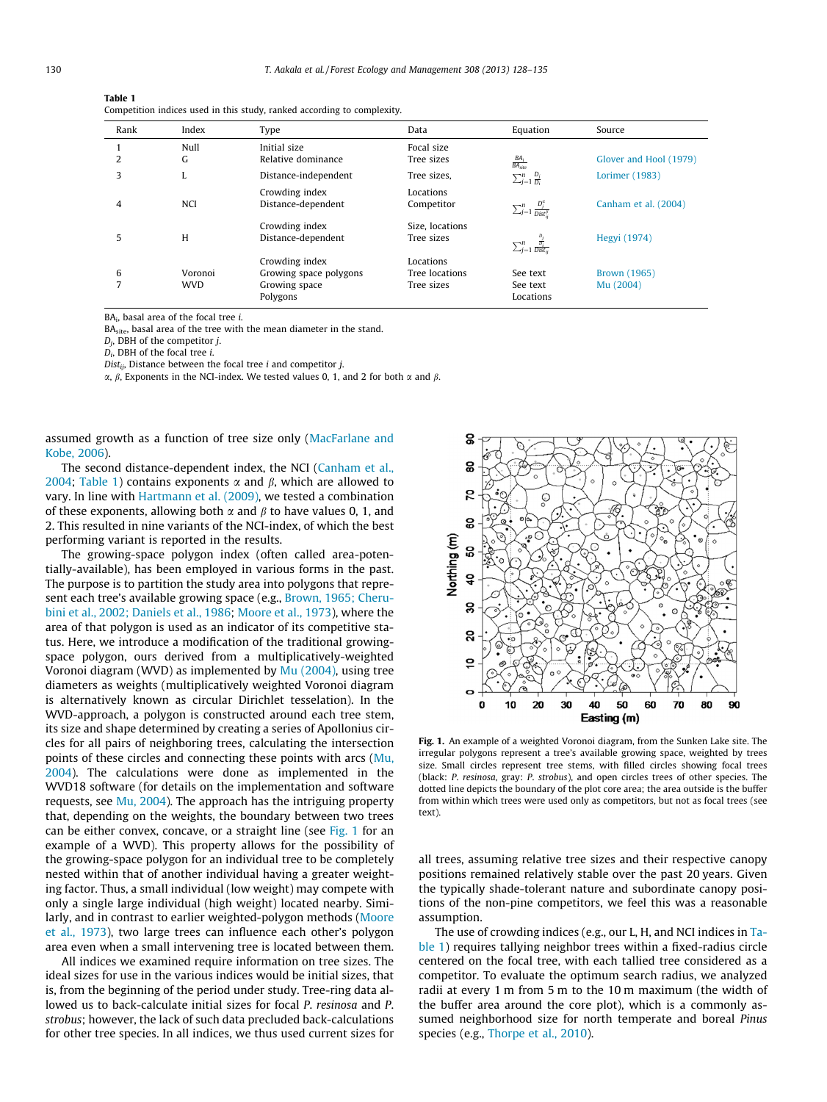| Rank           | Index                 | Type                                                                  | Data                                      | Equation                                              | Source                           |
|----------------|-----------------------|-----------------------------------------------------------------------|-------------------------------------------|-------------------------------------------------------|----------------------------------|
|                | Null                  | Initial size                                                          | Focal size                                |                                                       |                                  |
| $\overline{2}$ | G                     | Relative dominance                                                    | Tree sizes                                | $\frac{BA_i}{BA_{site}}$                              | Glover and Hool (1979)           |
| 3              | L                     | Distance-independent                                                  | Tree sizes.                               | $\sum_{j=1}^n \frac{D_j}{D_i}$                        | Lorimer (1983)                   |
| 4              | <b>NCI</b>            | Crowding index<br>Distance-dependent                                  | Locations<br>Competitor                   | $\sum_{j=1}^n \frac{D_j^{\alpha}}{Dist_{ii}^{\beta}}$ | Canham et al. (2004)             |
| 5              | H                     | Crowding index<br>Distance-dependent                                  | Size, locations<br>Tree sizes             | $\sum_{j=1}^{n} \frac{\frac{v_j}{D_i}}{Dist_{ii}}$    | Hegyi (1974)                     |
| 6<br>7         | Voronoi<br><b>WVD</b> | Crowding index<br>Growing space polygons<br>Growing space<br>Polygons | Locations<br>Tree locations<br>Tree sizes | See text<br>See text<br>Locations                     | <b>Brown</b> (1965)<br>Mu (2004) |

<span id="page-2-0"></span>

| Table 1                                                                 |  |  |  |  |
|-------------------------------------------------------------------------|--|--|--|--|
| Competition indices used in this study, ranked according to complexity. |  |  |  |  |

BA: basal area of the focal tree i.

BA<sub>site</sub>, basal area of the tree with the mean diameter in the stand.

D<sub>i</sub>. DBH of the competitor *i*.

 $D_i$ . DBH of the focal tree  $i$ .

 $Dist_{ii}$ , Distance between the focal tree *i* and competitor *i*.

 $\alpha$ ,  $\beta$ , Exponents in the NCI-index. We tested values 0, 1, and 2 for both  $\alpha$  and  $\beta$ .

assumed growth as a function of tree size only ([MacFarlane and](#page-7-0) [Kobe, 2006](#page-7-0)).

The second distance-dependent index, the NCI [\(Canham et al.,](#page-6-0) [2004;](#page-6-0) Table 1) contains exponents  $\alpha$  and  $\beta$ , which are allowed to vary. In line with [Hartmann et al. \(2009\)](#page-7-0), we tested a combination of these exponents, allowing both  $\alpha$  and  $\beta$  to have values 0, 1, and 2. This resulted in nine variants of the NCI-index, of which the best performing variant is reported in the results.

The growing-space polygon index (often called area-potentially-available), has been employed in various forms in the past. The purpose is to partition the study area into polygons that represent each tree's available growing space (e.g., [Brown, 1965; Cheru](#page-6-0)[bini et al., 2002; Daniels et al., 1986](#page-6-0); [Moore et al., 1973\)](#page-7-0), where the area of that polygon is used as an indicator of its competitive status. Here, we introduce a modification of the traditional growingspace polygon, ours derived from a multiplicatively-weighted Voronoi diagram (WVD) as implemented by [Mu \(2004\),](#page-7-0) using tree diameters as weights (multiplicatively weighted Voronoi diagram is alternatively known as circular Dirichlet tesselation). In the WVD-approach, a polygon is constructed around each tree stem, its size and shape determined by creating a series of Apollonius circles for all pairs of neighboring trees, calculating the intersection points of these circles and connecting these points with arcs [\(Mu,](#page-7-0) [2004\)](#page-7-0). The calculations were done as implemented in the WVD18 software (for details on the implementation and software requests, see [Mu, 2004\)](#page-7-0). The approach has the intriguing property that, depending on the weights, the boundary between two trees can be either convex, concave, or a straight line (see Fig. 1 for an example of a WVD). This property allows for the possibility of the growing-space polygon for an individual tree to be completely nested within that of another individual having a greater weighting factor. Thus, a small individual (low weight) may compete with only a single large individual (high weight) located nearby. Similarly, and in contrast to earlier weighted-polygon methods [\(Moore](#page-7-0) [et al., 1973\)](#page-7-0), two large trees can influence each other's polygon area even when a small intervening tree is located between them.

All indices we examined require information on tree sizes. The ideal sizes for use in the various indices would be initial sizes, that is, from the beginning of the period under study. Tree-ring data allowed us to back-calculate initial sizes for focal P. resinosa and P. strobus; however, the lack of such data precluded back-calculations for other tree species. In all indices, we thus used current sizes for



Fig. 1. An example of a weighted Voronoi diagram, from the Sunken Lake site. The irregular polygons represent a tree's available growing space, weighted by trees size. Small circles represent tree stems, with filled circles showing focal trees (black: P. resinosa, gray: P. strobus), and open circles trees of other species. The dotted line depicts the boundary of the plot core area; the area outside is the buffer from within which trees were used only as competitors, but not as focal trees (see text).

all trees, assuming relative tree sizes and their respective canopy positions remained relatively stable over the past 20 years. Given the typically shade-tolerant nature and subordinate canopy positions of the non-pine competitors, we feel this was a reasonable assumption.

The use of crowding indices (e.g., our L, H, and NCI indices in Table 1) requires tallying neighbor trees within a fixed-radius circle centered on the focal tree, with each tallied tree considered as a competitor. To evaluate the optimum search radius, we analyzed radii at every 1 m from 5 m to the 10 m maximum (the width of the buffer area around the core plot), which is a commonly assumed neighborhood size for north temperate and boreal Pinus species (e.g., [Thorpe et al., 2010\)](#page-7-0).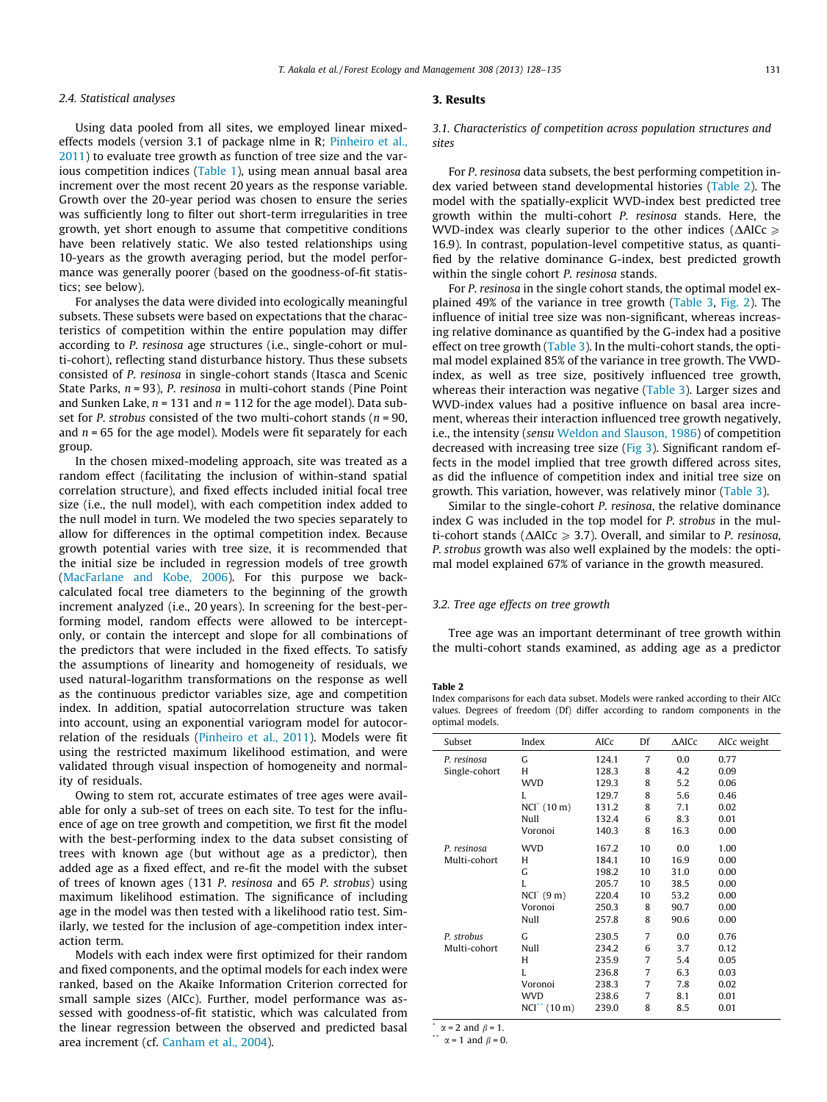#### <span id="page-3-0"></span>2.4. Statistical analyses

Using data pooled from all sites, we employed linear mixedeffects models (version 3.1 of package nlme in R; [Pinheiro et al.,](#page-7-0) [2011\)](#page-7-0) to evaluate tree growth as function of tree size and the various competition indices ([Table 1\)](#page-2-0), using mean annual basal area increment over the most recent 20 years as the response variable. Growth over the 20-year period was chosen to ensure the series was sufficiently long to filter out short-term irregularities in tree growth, yet short enough to assume that competitive conditions have been relatively static. We also tested relationships using 10-years as the growth averaging period, but the model performance was generally poorer (based on the goodness-of-fit statistics; see below).

For analyses the data were divided into ecologically meaningful subsets. These subsets were based on expectations that the characteristics of competition within the entire population may differ according to P. resinosa age structures (i.e., single-cohort or multi-cohort), reflecting stand disturbance history. Thus these subsets consisted of P. resinosa in single-cohort stands (Itasca and Scenic State Parks,  $n = 93$ ), P. resinosa in multi-cohort stands (Pine Point and Sunken Lake,  $n = 131$  and  $n = 112$  for the age model). Data subset for P. strobus consisted of the two multi-cohort stands ( $n = 90$ , and  $n = 65$  for the age model). Models were fit separately for each group.

In the chosen mixed-modeling approach, site was treated as a random effect (facilitating the inclusion of within-stand spatial correlation structure), and fixed effects included initial focal tree size (i.e., the null model), with each competition index added to the null model in turn. We modeled the two species separately to allow for differences in the optimal competition index. Because growth potential varies with tree size, it is recommended that the initial size be included in regression models of tree growth ([MacFarlane and Kobe, 2006](#page-7-0)). For this purpose we backcalculated focal tree diameters to the beginning of the growth increment analyzed (i.e., 20 years). In screening for the best-performing model, random effects were allowed to be interceptonly, or contain the intercept and slope for all combinations of the predictors that were included in the fixed effects. To satisfy the assumptions of linearity and homogeneity of residuals, we used natural-logarithm transformations on the response as well as the continuous predictor variables size, age and competition index. In addition, spatial autocorrelation structure was taken into account, using an exponential variogram model for autocorrelation of the residuals [\(Pinheiro et al., 2011\)](#page-7-0). Models were fit using the restricted maximum likelihood estimation, and were validated through visual inspection of homogeneity and normality of residuals.

Owing to stem rot, accurate estimates of tree ages were available for only a sub-set of trees on each site. To test for the influence of age on tree growth and competition, we first fit the model with the best-performing index to the data subset consisting of trees with known age (but without age as a predictor), then added age as a fixed effect, and re-fit the model with the subset of trees of known ages (131 P. resinosa and 65 P. strobus) using maximum likelihood estimation. The significance of including age in the model was then tested with a likelihood ratio test. Similarly, we tested for the inclusion of age-competition index interaction term.

Models with each index were first optimized for their random and fixed components, and the optimal models for each index were ranked, based on the Akaike Information Criterion corrected for small sample sizes (AICc). Further, model performance was assessed with goodness-of-fit statistic, which was calculated from the linear regression between the observed and predicted basal area increment (cf. [Canham et al., 2004\)](#page-6-0).

# 3. Results

3.1. Characteristics of competition across population structures and sites

For P. resinosa data subsets, the best performing competition index varied between stand developmental histories (Table 2). The model with the spatially-explicit WVD-index best predicted tree growth within the multi-cohort P. resinosa stands. Here, the WVD-index was clearly superior to the other indices ( $\triangle$ AICc  $\geq$ 16.9). In contrast, population-level competitive status, as quantified by the relative dominance G-index, best predicted growth within the single cohort P. resinosa stands.

For P. resinosa in the single cohort stands, the optimal model explained 49% of the variance in tree growth [\(Table 3,](#page-4-0) [Fig. 2](#page-4-0)). The influence of initial tree size was non-significant, whereas increasing relative dominance as quantified by the G-index had a positive effect on tree growth ([Table 3\)](#page-4-0). In the multi-cohort stands, the optimal model explained 85% of the variance in tree growth. The VWDindex, as well as tree size, positively influenced tree growth, whereas their interaction was negative ([Table 3\)](#page-4-0). Larger sizes and WVD-index values had a positive influence on basal area increment, whereas their interaction influenced tree growth negatively, i.e., the intensity (sensu [Weldon and Slauson, 1986](#page-7-0)) of competition decreased with increasing tree size [\(Fig 3\)](#page-4-0). Significant random effects in the model implied that tree growth differed across sites, as did the influence of competition index and initial tree size on growth. This variation, however, was relatively minor ([Table 3](#page-4-0)).

Similar to the single-cohort P. resinosa, the relative dominance index G was included in the top model for P. strobus in the multi-cohort stands ( $\triangle$ AICc  $\ge$  3.7). Overall, and similar to P. resinosa, P. strobus growth was also well explained by the models: the optimal model explained 67% of variance in the growth measured.

### 3.2. Tree age effects on tree growth

Tree age was an important determinant of tree growth within the multi-cohort stands examined, as adding age as a predictor

#### Table 2

Index comparisons for each data subset. Models were ranked according to their AICc values. Degrees of freedom (Df) differ according to random components in the optimal models.

| Subset        | Index                 | AICc  | Df | ∆AICc | AICc weight |
|---------------|-----------------------|-------|----|-------|-------------|
| P. resinosa   | G                     | 124.1 | 7  | 0.0   | 0.77        |
| Single-cohort | H                     | 128.3 | 8  | 4.2   | 0.09        |
|               | <b>WVD</b>            | 129.3 | 8  | 5.2   | 0.06        |
|               | L                     | 129.7 | 8  | 5.6   | 0.46        |
|               | $NCI^*(10 \text{ m})$ | 131.2 | 8  | 7.1   | 0.02        |
|               | Null                  | 132.4 | 6  | 8.3   | 0.01        |
|               | Voronoi               | 140.3 | 8  | 16.3  | 0.00        |
| P. resinosa   | <b>WVD</b>            | 167.2 | 10 | 0.0   | 1.00        |
| Multi-cohort  | H                     | 184.1 | 10 | 16.9  | 0.00        |
|               | G                     | 198.2 | 10 | 31.0  | 0.00        |
|               | L                     | 205.7 | 10 | 38.5  | 0.00        |
|               | $NCI^*(9m)$           | 220.4 | 10 | 53.2  | 0.00        |
|               | Voronoi               | 250.3 | 8  | 90.7  | 0.00        |
|               | Null                  | 257.8 | 8  | 90.6  | 0.00        |
| P. strobus    | G                     | 230.5 | 7  | 0.0   | 0.76        |
| Multi-cohort  | Null                  | 234.2 | 6  | 3.7   | 0.12        |
|               | H                     | 235.9 | 7  | 5.4   | 0.05        |
|               | L                     | 236.8 | 7  | 6.3   | 0.03        |
|               | Voronoi               | 238.3 | 7  | 7.8   | 0.02        |
|               | <b>WVD</b>            | 238.6 | 7  | 8.1   | 0.01        |
|               | $NCI^*(10 m)$         | 239.0 | 8  | 8.5   | 0.01        |

 $\alpha$  = 2 and  $\beta$  = 1.

 $\alpha$  = 1 and  $\beta$  = 0.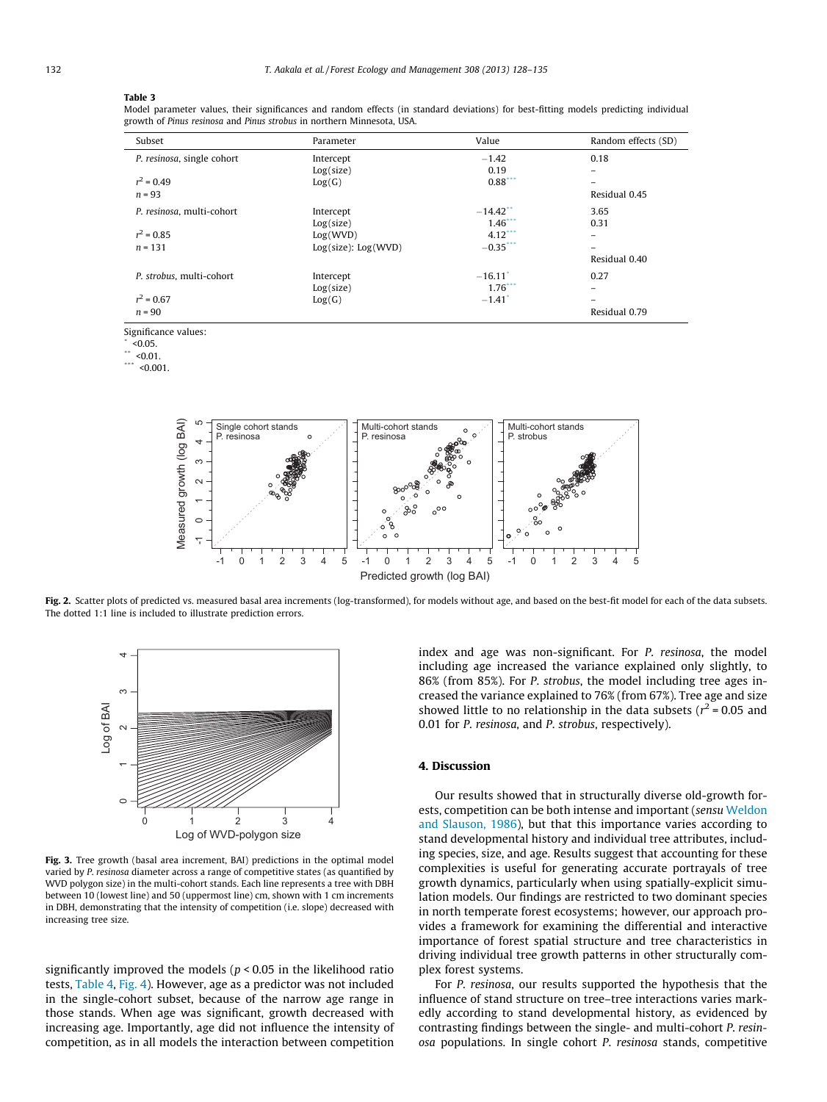#### <span id="page-4-0"></span>Table 3

Model parameter values, their significances and random effects (in standard deviations) for best-fitting models predicting individual growth of Pinus resinosa and Pinus strobus in northern Minnesota, USA.

| Subset                     | Parameter                | Value                 | Random effects (SD) |
|----------------------------|--------------------------|-----------------------|---------------------|
| P. resinosa, single cohort | Intercept                | $-1.42$               | 0.18                |
|                            | Log(size)                | 0.19                  |                     |
| $r^2 = 0.49$               | Log(G)                   | 0.88                  | -                   |
| $n = 93$                   |                          |                       | Residual 0.45       |
| P. resinosa, multi-cohort  | Intercept                | $-14.42$              | 3.65                |
|                            | Log(size)                | $1.46$ <sup>**</sup>  | 0.31                |
| $r^2 = 0.85$               | Log(WVD)                 | $4.12***$             |                     |
| $n = 131$                  | $Log(size)$ : $Log(WVD)$ | $-0.35$ ***           |                     |
|                            |                          |                       | Residual 0.40       |
| P. strobus, multi-cohort   | Intercept                | $-16.11$ <sup>*</sup> | 0.27                |
|                            | Log(size)                | $1.76$ <sup>***</sup> |                     |
| $r^2 = 0.67$               | Log(G)                   | $-1.41$ <sup>*</sup>  |                     |
| $n = 90$                   |                          |                       | Residual 0.79       |

Significance values:

 $*$  <0.05.

 $*$  < 0.01.

\*\*\*  $\leq 0.001$ .



Fig. 2. Scatter plots of predicted vs. measured basal area increments (log-transformed), for models without age, and based on the best-fit model for each of the data subsets. The dotted 1:1 line is included to illustrate prediction errors.



Fig. 3. Tree growth (basal area increment, BAI) predictions in the optimal model varied by P. resinosa diameter across a range of competitive states (as quantified by WVD polygon size) in the multi-cohort stands. Each line represents a tree with DBH between 10 (lowest line) and 50 (uppermost line) cm, shown with 1 cm increments in DBH, demonstrating that the intensity of competition (i.e. slope) decreased with increasing tree size.

significantly improved the models ( $p < 0.05$  in the likelihood ratio tests, [Table 4,](#page-5-0) [Fig. 4\)](#page-5-0). However, age as a predictor was not included in the single-cohort subset, because of the narrow age range in those stands. When age was significant, growth decreased with increasing age. Importantly, age did not influence the intensity of competition, as in all models the interaction between competition index and age was non-significant. For P. resinosa, the model including age increased the variance explained only slightly, to 86% (from 85%). For P. strobus, the model including tree ages increased the variance explained to 76% (from 67%). Tree age and size showed little to no relationship in the data subsets ( $r^2$  = 0.05 and 0.01 for P. resinosa, and P. strobus, respectively).

# 4. Discussion

Our results showed that in structurally diverse old-growth forests, competition can be both intense and important (sensu [Weldon](#page-7-0) [and Slauson, 1986](#page-7-0)), but that this importance varies according to stand developmental history and individual tree attributes, including species, size, and age. Results suggest that accounting for these complexities is useful for generating accurate portrayals of tree growth dynamics, particularly when using spatially-explicit simulation models. Our findings are restricted to two dominant species in north temperate forest ecosystems; however, our approach provides a framework for examining the differential and interactive importance of forest spatial structure and tree characteristics in driving individual tree growth patterns in other structurally complex forest systems.

For P. resinosa, our results supported the hypothesis that the influence of stand structure on tree–tree interactions varies markedly according to stand developmental history, as evidenced by contrasting findings between the single- and multi-cohort P. resinosa populations. In single cohort P. resinosa stands, competitive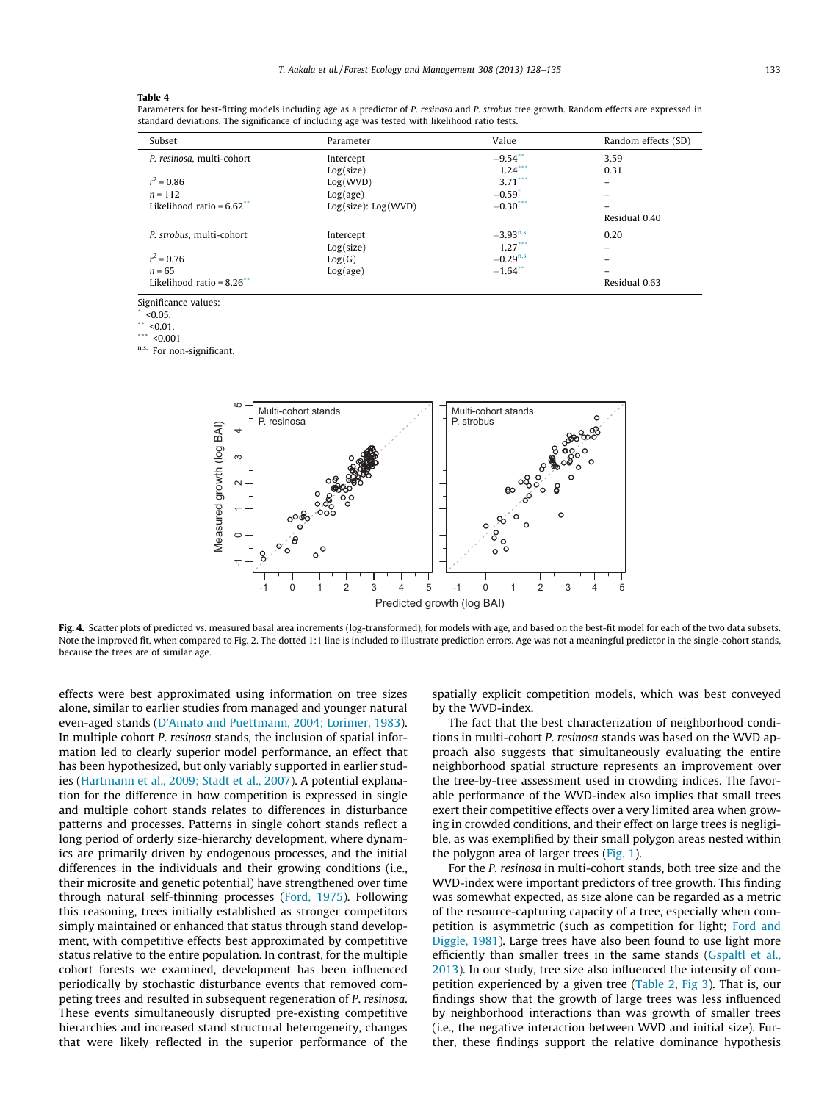#### <span id="page-5-0"></span>Table 4

Parameters for best-fitting models including age as a predictor of P. resinosa and P. strobus tree growth. Random effects are expressed in standard deviations. The significance of including age was tested with likelihood ratio tests.

| Subset                                  | Parameter                | Value                 | Random effects (SD)      |
|-----------------------------------------|--------------------------|-----------------------|--------------------------|
| P. resinosa, multi-cohort               | Intercept                | $-9.54$ <sup>**</sup> | 3.59                     |
|                                         | Log(size)                | $1.24$ <sup>***</sup> | 0.31                     |
| $r^2 = 0.86$                            | Log(WVD)                 | $3.71$ ***            | $\qquad \qquad$          |
| $n = 112$                               | Log(age)                 | $-0.59$ <sup>*</sup>  |                          |
| Likelihood ratio = $6.62$ <sup>**</sup> | $Log(size)$ : $Log(WVD)$ | $-0.30$ $\ddots$      |                          |
|                                         |                          |                       | Residual 0.40            |
| P. strobus, multi-cohort                | Intercept                | $-3.93^{n.s.}$        | 0.20                     |
|                                         | Log(size)                | $1.27***$             | $\overline{\phantom{0}}$ |
| $r^2 = 0.76$                            | Log(G)                   | $-0.29^{n.s.}$        |                          |
| $n = 65$                                | Log(age)                 | $-1.64$ <sup>**</sup> |                          |
| Likelihood ratio = $8.26$ <sup>**</sup> |                          |                       | Residual 0.63            |

Significance values:

 $<0.05$ .

\*\*  $< 0.01$ .

 $< 0.001$ 

n.s. For non-significant.



Fig. 4. Scatter plots of predicted vs. measured basal area increments (log-transformed), for models with age, and based on the best-fit model for each of the two data subsets. Note the improved fit, when compared to Fig. 2. The dotted 1:1 line is included to illustrate prediction errors. Age was not a meaningful predictor in the single-cohort stands, because the trees are of similar age.

effects were best approximated using information on tree sizes alone, similar to earlier studies from managed and younger natural even-aged stands ([D'Amato and Puettmann, 2004; Lorimer, 1983\)](#page-6-0). In multiple cohort P. resinosa stands, the inclusion of spatial information led to clearly superior model performance, an effect that has been hypothesized, but only variably supported in earlier studies [\(Hartmann et al., 2009; Stadt et al., 2007](#page-7-0)). A potential explanation for the difference in how competition is expressed in single and multiple cohort stands relates to differences in disturbance patterns and processes. Patterns in single cohort stands reflect a long period of orderly size-hierarchy development, where dynamics are primarily driven by endogenous processes, and the initial differences in the individuals and their growing conditions (i.e., their microsite and genetic potential) have strengthened over time through natural self-thinning processes [\(Ford, 1975](#page-7-0)). Following this reasoning, trees initially established as stronger competitors simply maintained or enhanced that status through stand development, with competitive effects best approximated by competitive status relative to the entire population. In contrast, for the multiple cohort forests we examined, development has been influenced periodically by stochastic disturbance events that removed competing trees and resulted in subsequent regeneration of P. resinosa. These events simultaneously disrupted pre-existing competitive hierarchies and increased stand structural heterogeneity, changes that were likely reflected in the superior performance of the spatially explicit competition models, which was best conveyed by the WVD-index.

The fact that the best characterization of neighborhood conditions in multi-cohort P. resinosa stands was based on the WVD approach also suggests that simultaneously evaluating the entire neighborhood spatial structure represents an improvement over the tree-by-tree assessment used in crowding indices. The favorable performance of the WVD-index also implies that small trees exert their competitive effects over a very limited area when growing in crowded conditions, and their effect on large trees is negligible, as was exemplified by their small polygon areas nested within the polygon area of larger trees [\(Fig. 1\)](#page-2-0).

For the P. resinosa in multi-cohort stands, both tree size and the WVD-index were important predictors of tree growth. This finding was somewhat expected, as size alone can be regarded as a metric of the resource-capturing capacity of a tree, especially when competition is asymmetric (such as competition for light; [Ford and](#page-7-0) [Diggle, 1981](#page-7-0)). Large trees have also been found to use light more efficiently than smaller trees in the same stands [\(Gspaltl et al.,](#page-7-0) [2013](#page-7-0)). In our study, tree size also influenced the intensity of competition experienced by a given tree [\(Table 2](#page-3-0), [Fig 3](#page-4-0)). That is, our findings show that the growth of large trees was less influenced by neighborhood interactions than was growth of smaller trees (i.e., the negative interaction between WVD and initial size). Further, these findings support the relative dominance hypothesis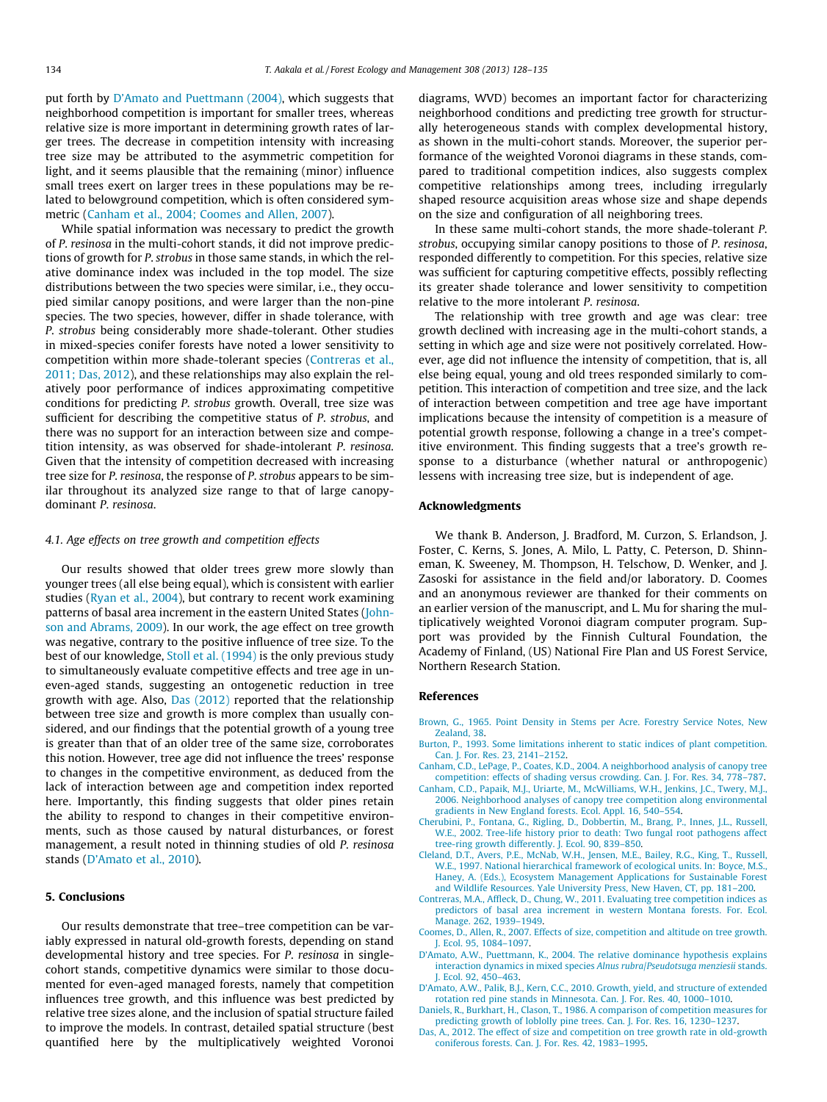<span id="page-6-0"></span>put forth by D'Amato and Puettmann (2004), which suggests that neighborhood competition is important for smaller trees, whereas relative size is more important in determining growth rates of larger trees. The decrease in competition intensity with increasing tree size may be attributed to the asymmetric competition for light, and it seems plausible that the remaining (minor) influence small trees exert on larger trees in these populations may be related to belowground competition, which is often considered symmetric (Canham et al., 2004; Coomes and Allen, 2007).

While spatial information was necessary to predict the growth of P. resinosa in the multi-cohort stands, it did not improve predictions of growth for P. strobus in those same stands, in which the relative dominance index was included in the top model. The size distributions between the two species were similar, i.e., they occupied similar canopy positions, and were larger than the non-pine species. The two species, however, differ in shade tolerance, with P. strobus being considerably more shade-tolerant. Other studies in mixed-species conifer forests have noted a lower sensitivity to competition within more shade-tolerant species (Contreras et al., 2011; Das, 2012), and these relationships may also explain the relatively poor performance of indices approximating competitive conditions for predicting P. strobus growth. Overall, tree size was sufficient for describing the competitive status of P. strobus, and there was no support for an interaction between size and competition intensity, as was observed for shade-intolerant P. resinosa. Given that the intensity of competition decreased with increasing tree size for P. resinosa, the response of P. strobus appears to be similar throughout its analyzed size range to that of large canopydominant P. resinosa.

## 4.1. Age effects on tree growth and competition effects

Our results showed that older trees grew more slowly than younger trees (all else being equal), which is consistent with earlier studies [\(Ryan et al., 2004](#page-7-0)), but contrary to recent work examining patterns of basal area increment in the eastern United States [\(John](#page-7-0)[son and Abrams, 2009](#page-7-0)). In our work, the age effect on tree growth was negative, contrary to the positive influence of tree size. To the best of our knowledge, [Stoll et al. \(1994\)](#page-7-0) is the only previous study to simultaneously evaluate competitive effects and tree age in uneven-aged stands, suggesting an ontogenetic reduction in tree growth with age. Also, Das (2012) reported that the relationship between tree size and growth is more complex than usually considered, and our findings that the potential growth of a young tree is greater than that of an older tree of the same size, corroborates this notion. However, tree age did not influence the trees' response to changes in the competitive environment, as deduced from the lack of interaction between age and competition index reported here. Importantly, this finding suggests that older pines retain the ability to respond to changes in their competitive environments, such as those caused by natural disturbances, or forest management, a result noted in thinning studies of old P. resinosa stands (D'Amato et al., 2010).

# 5. Conclusions

Our results demonstrate that tree–tree competition can be variably expressed in natural old-growth forests, depending on stand developmental history and tree species. For P. resinosa in singlecohort stands, competitive dynamics were similar to those documented for even-aged managed forests, namely that competition influences tree growth, and this influence was best predicted by relative tree sizes alone, and the inclusion of spatial structure failed to improve the models. In contrast, detailed spatial structure (best quantified here by the multiplicatively weighted Voronoi diagrams, WVD) becomes an important factor for characterizing neighborhood conditions and predicting tree growth for structurally heterogeneous stands with complex developmental history, as shown in the multi-cohort stands. Moreover, the superior performance of the weighted Voronoi diagrams in these stands, compared to traditional competition indices, also suggests complex competitive relationships among trees, including irregularly shaped resource acquisition areas whose size and shape depends on the size and configuration of all neighboring trees.

In these same multi-cohort stands, the more shade-tolerant P. strobus, occupying similar canopy positions to those of P. resinosa, responded differently to competition. For this species, relative size was sufficient for capturing competitive effects, possibly reflecting its greater shade tolerance and lower sensitivity to competition relative to the more intolerant P. resinosa.

The relationship with tree growth and age was clear: tree growth declined with increasing age in the multi-cohort stands, a setting in which age and size were not positively correlated. However, age did not influence the intensity of competition, that is, all else being equal, young and old trees responded similarly to competition. This interaction of competition and tree size, and the lack of interaction between competition and tree age have important implications because the intensity of competition is a measure of potential growth response, following a change in a tree's competitive environment. This finding suggests that a tree's growth response to a disturbance (whether natural or anthropogenic) lessens with increasing tree size, but is independent of age.

# Acknowledgments

We thank B. Anderson, J. Bradford, M. Curzon, S. Erlandson, J. Foster, C. Kerns, S. Jones, A. Milo, L. Patty, C. Peterson, D. Shinneman, K. Sweeney, M. Thompson, H. Telschow, D. Wenker, and J. Zasoski for assistance in the field and/or laboratory. D. Coomes and an anonymous reviewer are thanked for their comments on an earlier version of the manuscript, and L. Mu for sharing the multiplicatively weighted Voronoi diagram computer program. Support was provided by the Finnish Cultural Foundation, the Academy of Finland, (US) National Fire Plan and US Forest Service, Northern Research Station.

#### **References**

- [Brown, G., 1965. Point Density in Stems per Acre. Forestry Service Notes, New](http://refhub.elsevier.com/S0378-1127(13)00515-X/h0005) [Zealand, 38.](http://refhub.elsevier.com/S0378-1127(13)00515-X/h0005)
- [Burton, P., 1993. Some limitations inherent to static indices of plant competition.](http://refhub.elsevier.com/S0378-1127(13)00515-X/h0010) [Can. J. For. Res. 23, 2141–2152](http://refhub.elsevier.com/S0378-1127(13)00515-X/h0010).
- [Canham, C.D., LePage, P., Coates, K.D., 2004. A neighborhood analysis of canopy tree](http://refhub.elsevier.com/S0378-1127(13)00515-X/h0015) [competition: effects of shading versus crowding. Can. J. For. Res. 34, 778–787](http://refhub.elsevier.com/S0378-1127(13)00515-X/h0015).
- [Canham, C.D., Papaik, M.J., Uriarte, M., McWilliams, W.H., Jenkins, J.C., Twery, M.J.,](http://refhub.elsevier.com/S0378-1127(13)00515-X/h0020) [2006. Neighborhood analyses of canopy tree competition along environmental](http://refhub.elsevier.com/S0378-1127(13)00515-X/h0020) [gradients in New England forests. Ecol. Appl. 16, 540–554](http://refhub.elsevier.com/S0378-1127(13)00515-X/h0020).
- [Cherubini, P., Fontana, G., Rigling, D., Dobbertin, M., Brang, P., Innes, J.L., Russell,](http://refhub.elsevier.com/S0378-1127(13)00515-X/h1025) [W.E., 2002. Tree-life history prior to death: Two fungal root pathogens affect](http://refhub.elsevier.com/S0378-1127(13)00515-X/h1025) [tree-ring growth differently. J. Ecol. 90, 839–850.](http://refhub.elsevier.com/S0378-1127(13)00515-X/h1025)
- [Cleland, D.T., Avers, P.E., McNab, W.H., Jensen, M.E., Bailey, R.G., King, T., Russell,](http://refhub.elsevier.com/S0378-1127(13)00515-X/h0025) [W.E., 1997. National hierarchical framework of ecological units. In: Boyce, M.S.,](http://refhub.elsevier.com/S0378-1127(13)00515-X/h0025) [Haney, A. \(Eds.\), Ecosystem Management Applications for Sustainable Forest](http://refhub.elsevier.com/S0378-1127(13)00515-X/h0025) [and Wildlife Resources. Yale University Press, New Haven, CT, pp. 181–200.](http://refhub.elsevier.com/S0378-1127(13)00515-X/h0025)
- [Contreras, M.A., Affleck, D., Chung, W., 2011. Evaluating tree competition indices as](http://refhub.elsevier.com/S0378-1127(13)00515-X/h0030) [predictors of basal area increment in western Montana forests. For. Ecol.](http://refhub.elsevier.com/S0378-1127(13)00515-X/h0030) [Manage. 262, 1939–1949.](http://refhub.elsevier.com/S0378-1127(13)00515-X/h0030)
- [Coomes, D., Allen, R., 2007. Effects of size, competition and altitude on tree growth.](http://refhub.elsevier.com/S0378-1127(13)00515-X/h0035) [J. Ecol. 95, 1084–1097](http://refhub.elsevier.com/S0378-1127(13)00515-X/h0035).
- [D'Amato, A.W., Puettmann, K., 2004. The relative dominance hypothesis explains](http://refhub.elsevier.com/S0378-1127(13)00515-X/h0050) [interaction dynamics in mixed species](http://refhub.elsevier.com/S0378-1127(13)00515-X/h0050) Alnus rubra/Pseudotsuga menziesii stands. [J. Ecol. 92, 450–463](http://refhub.elsevier.com/S0378-1127(13)00515-X/h0050).
- [D'Amato, A.W., Palik, B.J., Kern, C.C., 2010. Growth, yield, and structure of extended](http://refhub.elsevier.com/S0378-1127(13)00515-X/h0045) [rotation red pine stands in Minnesota. Can. J. For. Res. 40, 1000–1010](http://refhub.elsevier.com/S0378-1127(13)00515-X/h0045).
- [Daniels, R., Burkhart, H., Clason, T., 1986. A comparison of competition measures for](http://refhub.elsevier.com/S0378-1127(13)00515-X/h1045) [predicting growth of loblolly pine trees. Can. J. For. Res. 16, 1230–1237](http://refhub.elsevier.com/S0378-1127(13)00515-X/h1045).
- [Das, A., 2012. The effect of size and competition on tree growth rate in old-growth](http://refhub.elsevier.com/S0378-1127(13)00515-X/h0040) [coniferous forests. Can. J. For. Res. 42, 1983–1995](http://refhub.elsevier.com/S0378-1127(13)00515-X/h0040).